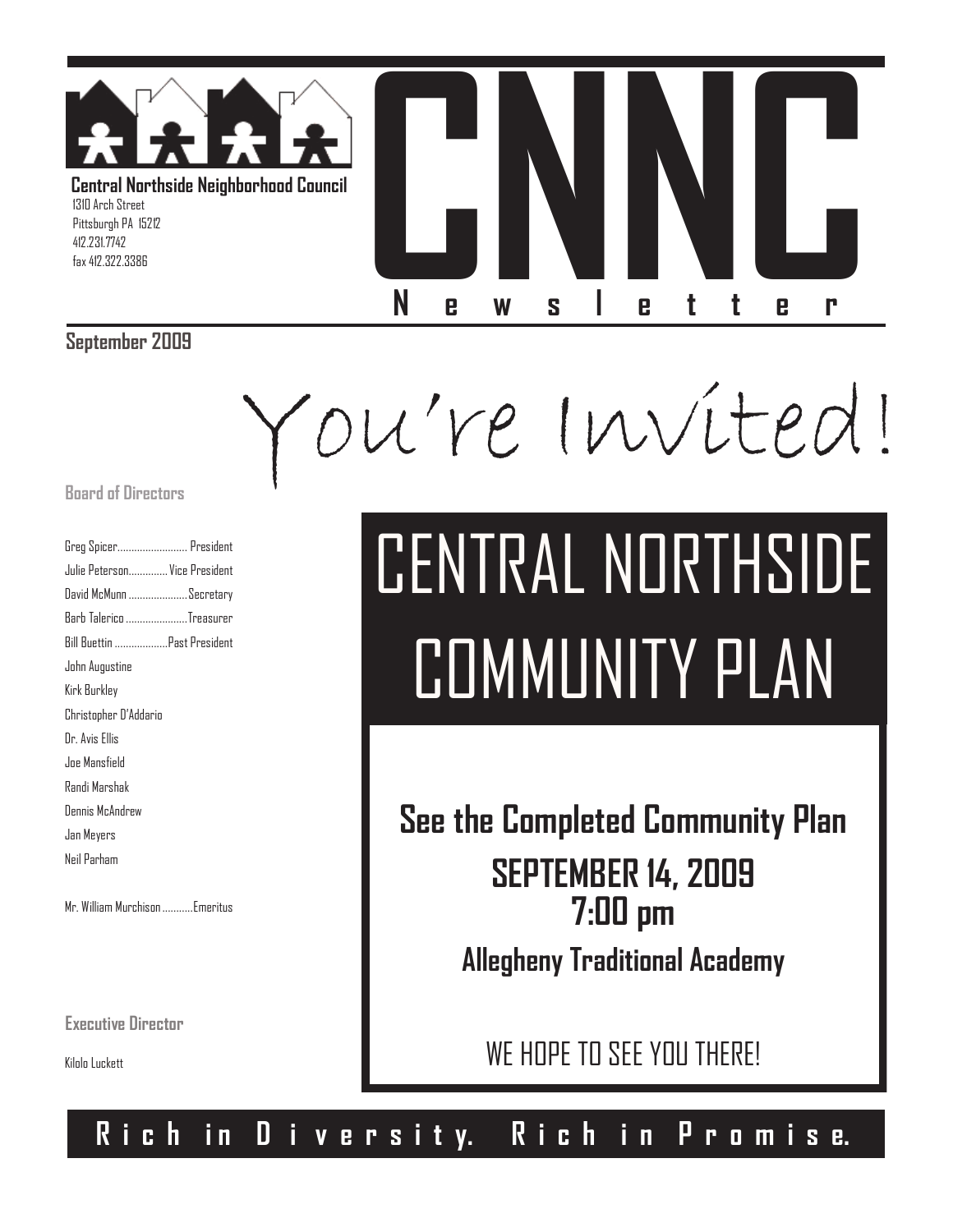

### **September 2009**

You're Invited!

### **Board of Directors**

| Greg Spicer President         |  |
|-------------------------------|--|
| Julie Peterson Vice President |  |
| David McMunn Secretary        |  |
| Barb Talerico Treasurer       |  |
| Bill Buettin Past President   |  |
| John Augustine                |  |
| Kirk Burkley                  |  |
| Christopher D'Addario         |  |
| Dr. Avis Ellis                |  |
| Joe Mansfield                 |  |
| Randi Marshak                 |  |
| Dennis McAndrew               |  |
| Jan Meyers                    |  |
| Neil Parham                   |  |
|                               |  |

Mr. William Murchison...........Emeritus

**Executive Director**

Kilolo Luckett

# CENTRAL NORTHSIDE COMMUNITY PLAN

**See the Completed Community Plan SEPTEMBER 14, 2009 7:00 pm Allegheny Traditional Academy**

WE HOPE TO SEE YOU THERE!

### **R i c h i n D i v e r s i t y. R i c h i n P r o m i s e.**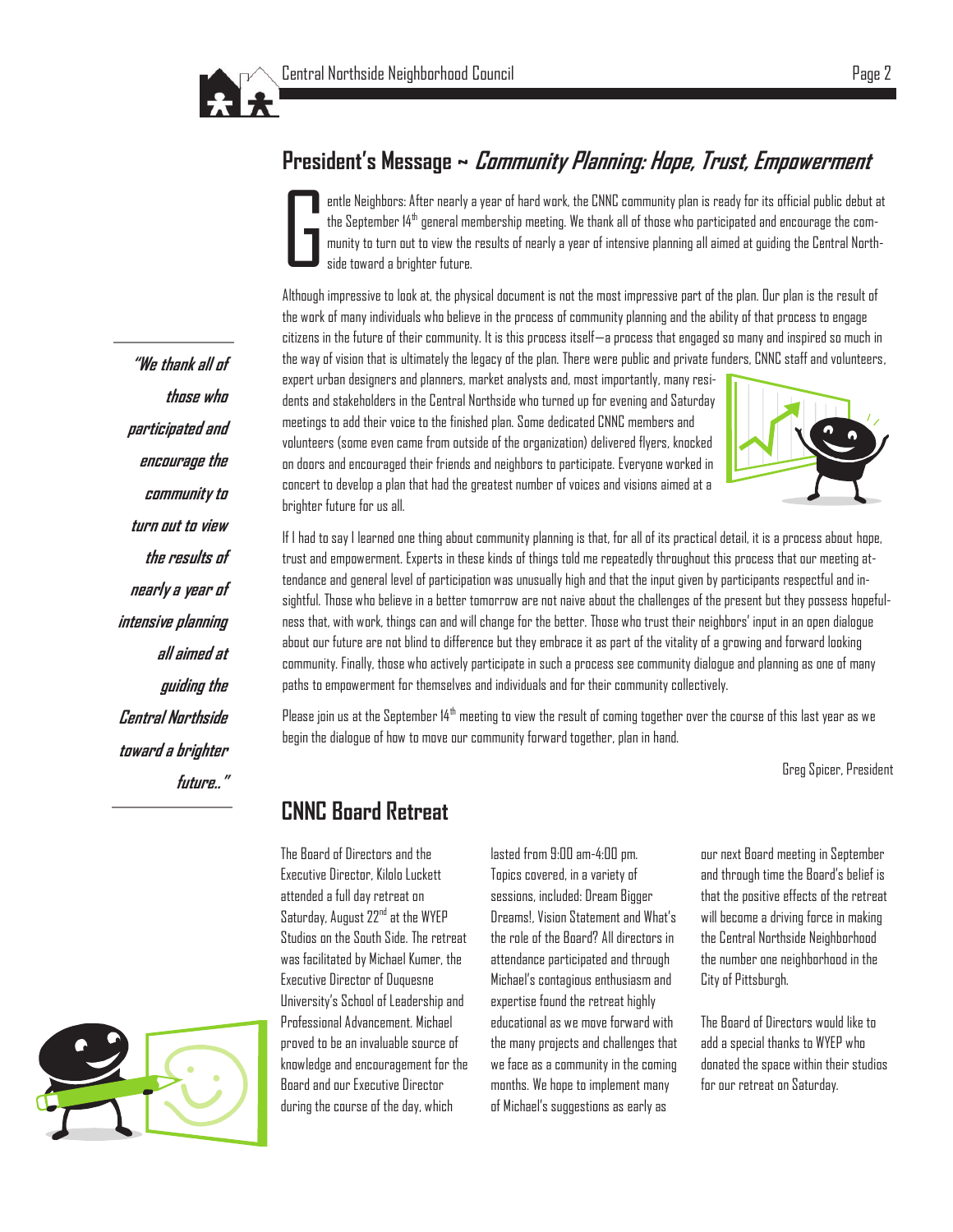

### **President's Message ~ Community Planning: Hope, Trust, Empowerment**

G entle Neighbors: After nearly a year of hard work, the CNNC community plan is ready for its official public debut at the September 14th general membership meeting. We thank all of those who participated and encourage the community to turn out to view the results of nearly a year of intensive planning all aimed at guiding the Central Northside toward a brighter future.

Although impressive to look at, the physical document is not the most impressive part of the plan. Our plan is the result of the work of many individuals who believe in the process of community planning and the ability of that process to engage citizens in the future of their community. It is this process itself—a process that engaged so many and inspired so much in the way of vision that is ultimately the legacy of the plan. There were public and private funders, CNNC staff and volunteers,

expert urban designers and planners, market analysts and, most importantly, many residents and stakeholders in the Central Northside who turned up for evening and Saturday meetings to add their voice to the finished plan. Some dedicated CNNC members and volunteers (some even came from outside of the organization) delivered flyers, knocked on doors and encouraged their friends and neighbors to participate. Everyone worked in concert to develop a plan that had the greatest number of voices and visions aimed at a brighter future for us all.



If I had to say I learned one thing about community planning is that, for all of its practical detail, it is a process about hope, trust and empowerment. Experts in these kinds of things told me repeatedly throughout this process that our meeting attendance and general level of participation was unusually high and that the input given by participants respectful and insightful. Those who believe in a better tomorrow are not naive about the challenges of the present but they possess hopefulness that, with work, things can and will change for the better. Those who trust their neighbors' input in an open dialogue about our future are not blind to difference but they embrace it as part of the vitality of a growing and forward looking community. Finally, those who actively participate in such a process see community dialogue and planning as one of many paths to empowerment for themselves and individuals and for their community collectively.

Please join us at the September 14<sup>th</sup> meeting to view the result of coming together over the course of this last year as we begin the dialogue of how to move our community forward together, plan in hand.

Greg Spicer, President

### **CNNC Board Retreat**

The Board of Directors and the Executive Director, Kilolo Luckett attended a full day retreat on Saturday, August 22<sup>nd</sup> at the WYEP Studios on the South Side. The retreat was facilitated by Michael Kumer, the Executive Director of Duquesne University's School of Leadership and Professional Advancement. Michael proved to be an invaluable source of knowledge and encouragement for the Board and our Executive Director during the course of the day, which

lasted from 9:00 am-4:00 pm. Topics covered, in a variety of sessions, included: Dream Bigger Dreams!, Vision Statement and What's the role of the Board? All directors in attendance participated and through Michael's contagious enthusiasm and expertise found the retreat highly educational as we move forward with the many projects and challenges that we face as a community in the coming months. We hope to implement many of Michael's suggestions as early as

our next Board meeting in September and through time the Board's belief is that the positive effects of the retreat will become a driving force in making the Central Northside Neighborhood the number one neighborhood in the City of Pittsburgh.

The Board of Directors would like to add a special thanks to WYEP who donated the space within their studios for our retreat on Saturday.

**"We thank all of those who participated and encourage the community to turn out to view the results of nearly a year of intensive planning all aimed at guiding the Central Northside toward a brighter future.."**

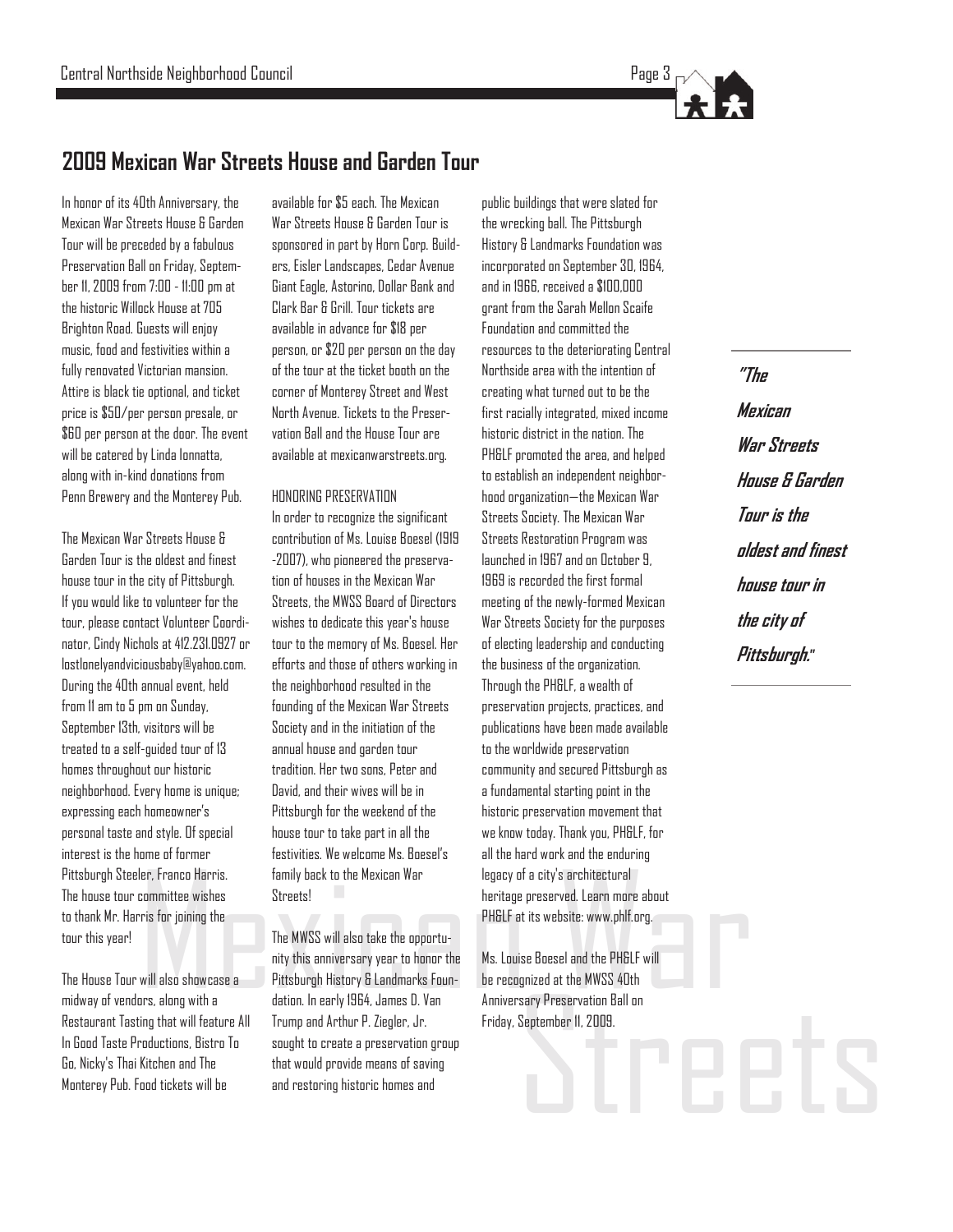

### **2009 Mexican War Streets House and Garden Tour**

In honor of its 40th Anniversary, the Mexican War Streets House & Garden Tour will be preceded by a fabulous Preservation Ball on Friday, September 11, 2009 from 7:00 - 11:00 pm at the historic Willock House at 705 Brighton Road. Guests will enjoy music, food and festivities within a fully renovated Victorian mansion. Attire is black tie optional, and ticket price is \$50/per person presale, or \$60 per person at the door. The event will be catered by Linda Ionnatta, along with in-kind donations from Penn Brewery and the Monterey Pub.

The Mexican War Streets House & Garden Tour is the oldest and finest house tour in the city of Pittsburgh. If you would like to volunteer for the tour, please contact Volunteer Coordinator, Cindy Nichols at 412.231.0927 or lostlonelyandviciousbaby@yahoo.com. During the 40th annual event, held from 11 am to 5 pm on Sunday, September 13th, visitors will be treated to a self-guided tour of 13 homes throughout our historic neighborhood. Every home is unique; expressing each homeowner's personal taste and style. Of special interest is the home of former Pittsburgh Steeler, Franco Harris. The house tour committee wishes to thank Mr. Harris for joining the tour this year!

The House Tour will also showcase a midway of vendors, along with a Restaurant Tasting that will feature All In Good Taste Productions, Bistro To Go, Nicky's Thai Kitchen and The Monterey Pub. Food tickets will be

available for \$5 each. The Mexican War Streets House & Garden Tour is sponsored in part by Horn Corp. Builders, Eisler Landscapes, Cedar Avenue Giant Eagle, Astorino, Dollar Bank and Clark Bar & Grill. Tour tickets are available in advance for \$18 per person, or \$20 per person on the day of the tour at the ticket booth on the corner of Monterey Street and West North Avenue. Tickets to the Preservation Ball and the House Tour are available at mexicanwarstreets.org.

#### HONORING PRESERVATION

In order to recognize the significant contribution of Ms. Louise Boesel (1919 -2007), who pioneered the preservation of houses in the Mexican War Streets, the MWSS Board of Directors wishes to dedicate this year's house tour to the memory of Ms. Boesel. Her efforts and those of others working in the neighborhood resulted in the founding of the Mexican War Streets Society and in the initiation of the annual house and garden tour tradition. Her two sons, Peter and David, and their wives will be in Pittsburgh for the weekend of the house tour to take part in all the festivities. We welcome Ms. Boesel's family back to the Mexican War Streets!

er, Franco Harris. Family back to the Mexican War legacy of a city's architectural<br>committee wishes Streets! The MWSS will also take the opportu-<br>will also showcase a Pittsburgh History & Landmarks Foundation. In early 196 The MWSS will also take the opportunity this anniversary year to honor the Pittsburgh History & Landmarks Foundation. In early 1964, James D. Van Trump and Arthur P. Ziegler, Jr. sought to create a preservation group that would provide means of saving and restoring historic homes and

public buildings that were slated for the wrecking ball. The Pittsburgh History & Landmarks Foundation was incorporated on September 30, 1964, and in 1966, received a \$100,000 grant from the Sarah Mellon Scaife Foundation and committed the resources to the deteriorating Central Northside area with the intention of creating what turned out to be the first racially integrated, mixed income historic district in the nation. The PH&LF promoted the area, and helped to establish an independent neighborhood organization—the Mexican War Streets Society. The Mexican War Streets Restoration Program was launched in 1967 and on October 9, 1969 is recorded the first formal meeting of the newly-formed Mexican War Streets Society for the purposes of electing leadership and conducting the business of the organization. Through the PH&LF, a wealth of preservation projects, practices, and publications have been made available to the worldwide preservation community and secured Pittsburgh as a fundamental starting point in the historic preservation movement that we know today. Thank you, PH&LF, for all the hard work and the enduring legacy of a city's architectural heritage preserved. Learn more about PH&LF at its website: www.phlf.org.

Sary Preservation Ball on<br>September 11, 2009.<br>Ceptember 11, 2009. Ms. Louise Boesel and the PH&LF will be recognized at the MWSS 40th Anniversary Preservation Ball on Friday, September 11, 2009.

**"The Mexican War Streets House & Garden Tour is the oldest and finest house tour in the city of Pittsburgh."**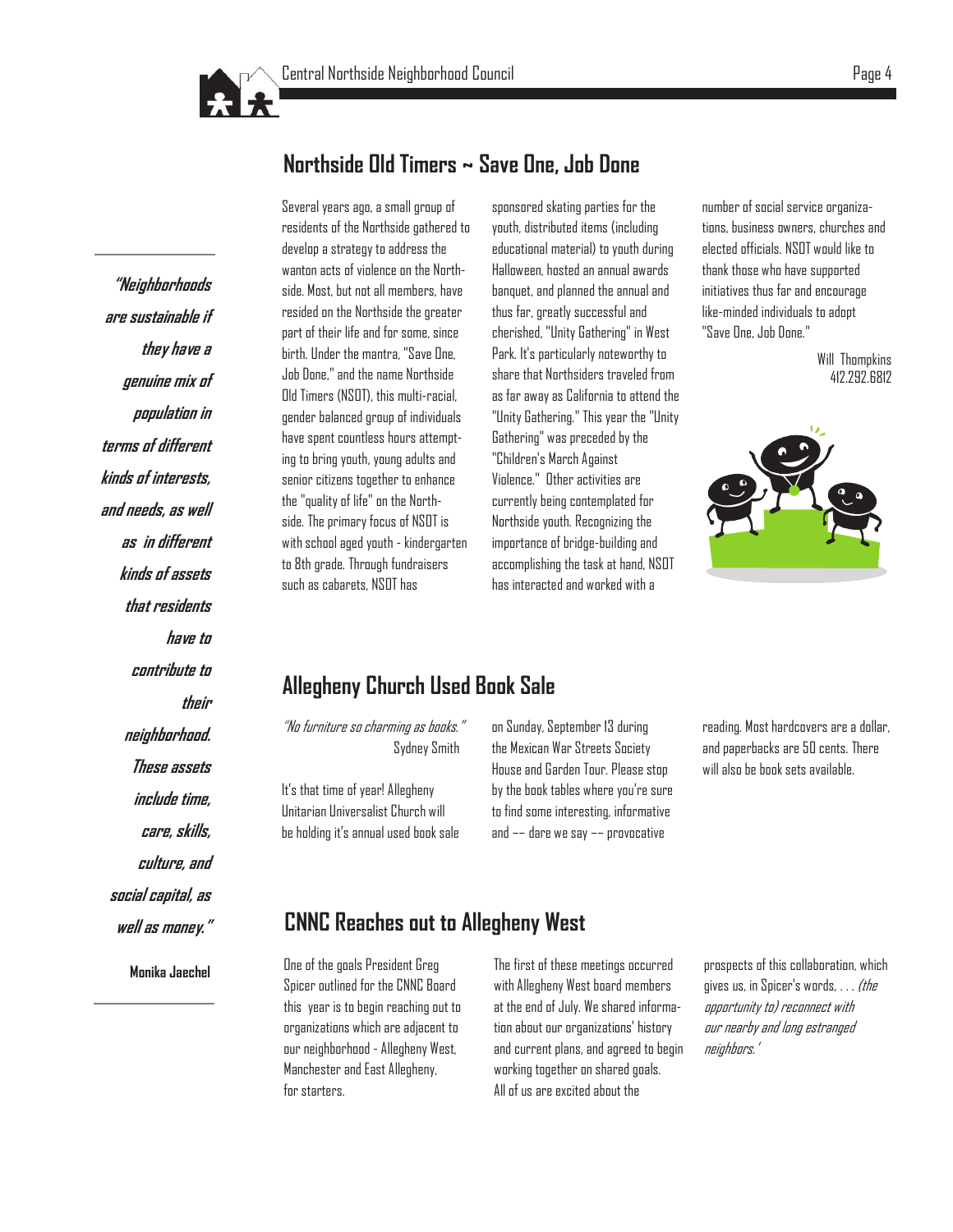

### **Northside Old Timers ~ Save One, Job Done**

**"Neighborhoods are sustainable if they have a genuine mix of population in terms of different kinds of interests, and needs, as well as in different kinds of assets that residents have to contribute to their neighborhood. These assets include time, care, skills, culture, and social capital, as well as money."** 

**Monika Jaechel**

Several years ago, a small group of residents of the Northside gathered to develop a strategy to address the wanton acts of violence on the Northside. Most, but not all members, have resided on the Northside the greater part of their life and for some, since birth. Under the mantra, "Save One, Job Done," and the name Northside Old Timers (NSOT), this multi-racial, gender balanced group of individuals have spent countless hours attempting to bring youth, young adults and senior citizens together to enhance the "quality of life" on the Northside. The primary focus of NSOT is with school aged youth - kindergarten to 8th grade. Through fundraisers such as cabarets, NSOT has

sponsored skating parties for the youth, distributed items (including educational material) to youth during Halloween, hosted an annual awards banquet, and planned the annual and thus far, greatly successful and cherished, "Unity Gathering" in West Park. It's particularly noteworthy to share that Northsiders traveled from as far away as California to attend the "Unity Gathering." This year the "Unity Gathering" was preceded by the "Children's March Against Violence." Other activities are currently being contemplated for Northside youth. Recognizing the importance of bridge-building and accomplishing the task at hand, NSOT has interacted and worked with a

number of social service organizations, business owners, churches and elected officials. NSOT would like to thank those who have supported initiatives thus far and encourage like-minded individuals to adopt "Save One, Job Done."

> Will Thompkins 412.292.6812



### **Allegheny Church Used Book Sale**

"No furniture so charming as books." Sydney Smith

It's that time of year! Allegheny Unitarian Universalist Church will be holding it's annual used book sale on Sunday, September 13 during the Mexican War Streets Society House and Garden Tour. Please stop by the book tables where you're sure to find some interesting, informative and –– dare we say –– provocative

reading. Most hardcovers are a dollar, and paperbacks are 50 cents. There will also be book sets available.

### **CNNC Reaches out to Allegheny West**

One of the goals President Greg Spicer outlined for the CNNC Board this year is to begin reaching out to organizations which are adjacent to our neighborhood - Allegheny West, Manchester and East Allegheny, for starters.

The first of these meetings occurred with Allegheny West board members at the end of July. We shared information about our organizations' history and current plans, and agreed to begin working together on shared goals. All of us are excited about the

prospects of this collaboration, which gives us, in Spicer's words,  $\ldots$  (the opportunity to) reconnect with our nearby and long estranged neighbors.'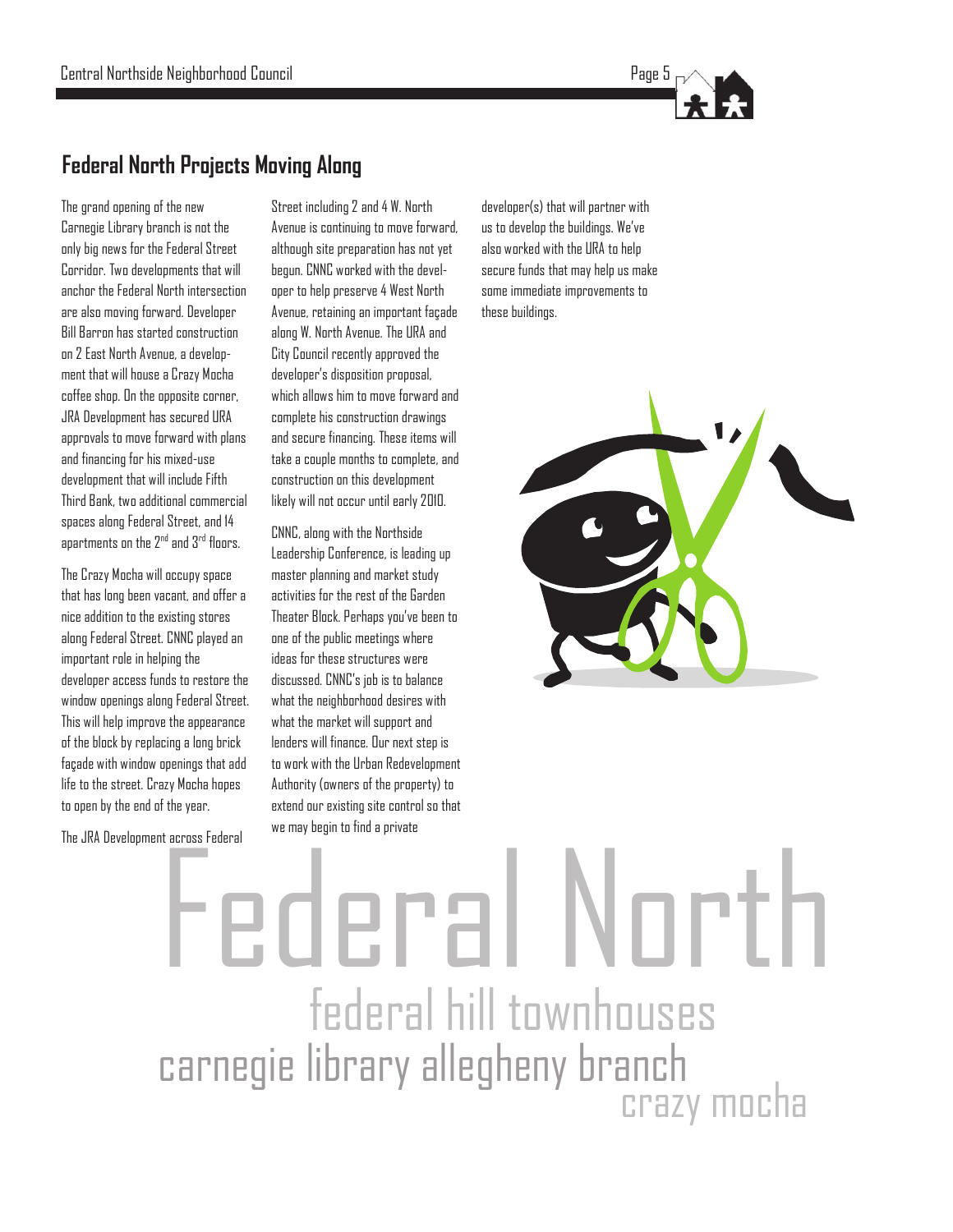

### **Federal North Projects Moving Along**

The grand opening of the new Carnegie Library branch is not the only big news for the Federal Street Corridor. Two developments that will anchor the Federal North intersection are also moving forward. Developer Bill Barron has started construction on 2 East North Avenue, a development that will house a Crazy Mocha coffee shop. On the opposite corner, JRA Development has secured URA approvals to move forward with plans and financing for his mixed-use development that will include Fifth Third Bank, two additional commercial spaces along Federal Street, and 14 apartments on the 2<sup>nd</sup> and 3<sup>rd</sup> floors.

The Crazy Mocha will occupy space that has long been vacant, and offer a nice addition to the existing stores along Federal Street. CNNC played an important role in helping the developer access funds to restore the window openings along Federal Street. This will help improve the appearance of the block by replacing a long brick façade with window openings that add life to the street. Crazy Mocha hopes to open by the end of the year.

The JRA Development across Federal

Street including 2 and 4 W. North Avenue is continuing to move forward, although site preparation has not yet begun. CNNC worked with the developer to help preserve 4 West North Avenue, retaining an important façade along W. North Avenue. The URA and City Council recently approved the developer's disposition proposal, which allows him to move forward and complete his construction drawings and secure financing. These items will take a couple months to complete, and construction on this development likely will not occur until early 2010.

CNNC, along with the Northside Leadership Conference, is leading up master planning and market study activities for the rest of the Garden Theater Block. Perhaps you've been to one of the public meetings where ideas for these structures were discussed. CNNC's job is to balance what the neighborhood desires with what the market will support and lenders will finance. Our next step is to work with the Urban Redevelopment Authority (owners of the property) to extend our existing site control so that we may begin to find a private

developer(s) that will partner with us to develop the buildings. We've also worked with the URA to help secure funds that may help us make some immediate improvements to these buildings.



## federal hill townhouses carnegie library allegheny branch crazy mocha Federal North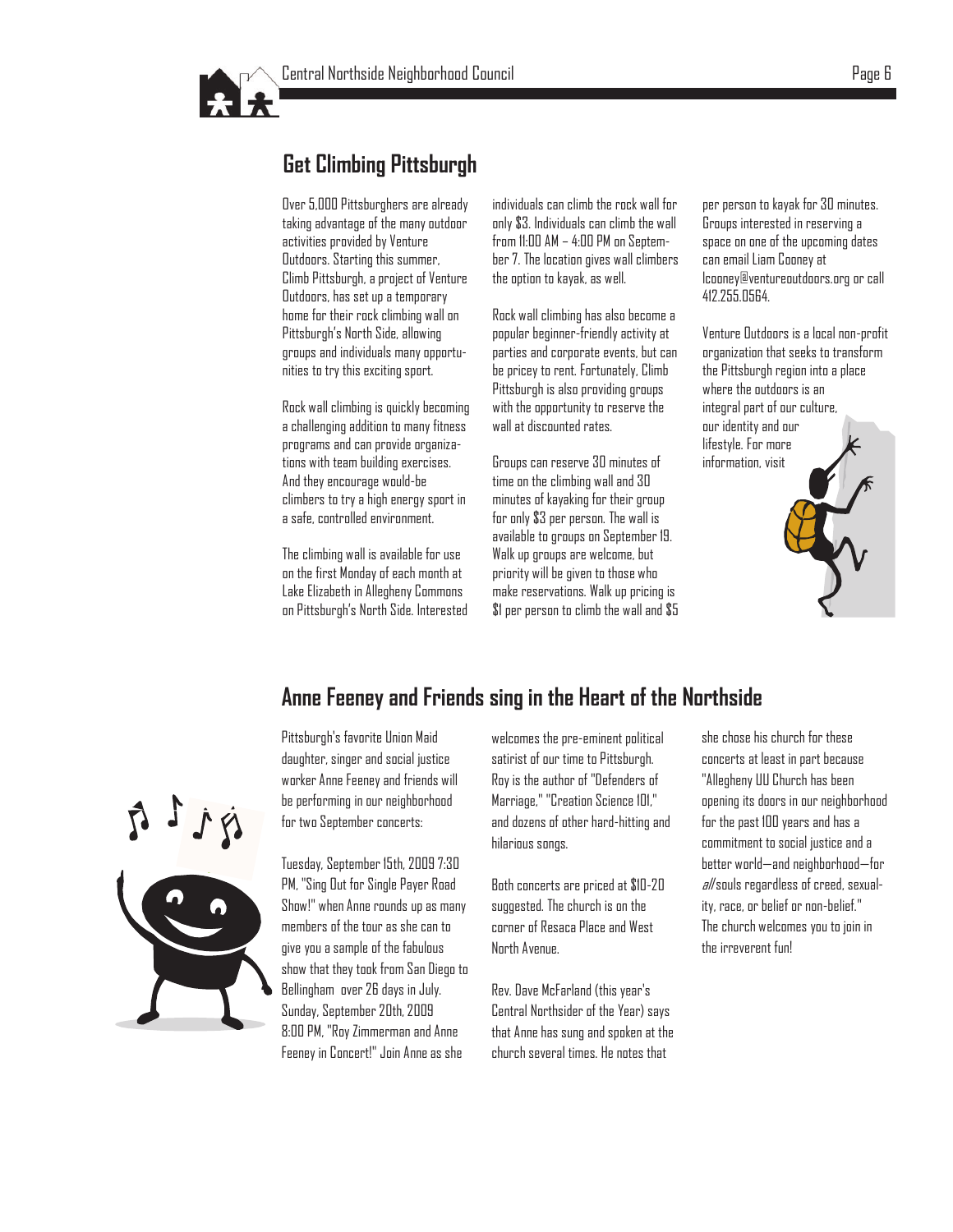

### **Get Climbing Pittsburgh**

Over 5,000 Pittsburghers are already taking advantage of the many outdoor activities provided by Venture Outdoors. Starting this summer, Climb Pittsburgh, a project of Venture Outdoors, has set up a temporary home for their rock climbing wall on Pittsburgh's North Side, allowing groups and individuals many opportunities to try this exciting sport.

Rock wall climbing is quickly becoming a challenging addition to many fitness programs and can provide organizations with team building exercises. And they encourage would-be climbers to try a high energy sport in a safe, controlled environment.

The climbing wall is available for use on the first Monday of each month at Lake Elizabeth in Allegheny Commons on Pittsburgh's North Side. Interested individuals can climb the rock wall for only \$3. Individuals can climb the wall from 11:00 AM – 4:00 PM on September 7. The location gives wall climbers the option to kayak, as well.

Rock wall climbing has also become a popular beginner-friendly activity at parties and corporate events, but can be pricey to rent. Fortunately, Climb Pittsburgh is also providing groups with the opportunity to reserve the wall at discounted rates.

Groups can reserve 30 minutes of time on the climbing wall and 30 minutes of kayaking for their group for only \$3 per person. The wall is available to groups on September 19. Walk up groups are welcome, but priority will be given to those who make reservations. Walk up pricing is \$1 per person to climb the wall and \$5 per person to kayak for 30 minutes. Groups interested in reserving a space on one of the upcoming dates can email Liam Cooney at [lcooney@ventureoutdoors.org](mailto:lcooney@ventureoutdoors.org) or call 412.255.0564.

Venture Outdoors is a local non-profit organization that seeks to transform the Pittsburgh region into a place where the outdoors is an integral part of our culture, our identity and our lifestyle. For more information, visit

### **Anne Feeney and Friends sing in the Heart of the Northside**



Pittsburgh's favorite Union Maid daughter, singer and social justice worker Anne Feeney and friends will be performing in our neighborhood for two September concerts:

Tuesday, September 15th, 2009 7:30 PM, "Sing Out for Single Payer Road Show!" when Anne rounds up as many members of the tour as she can to give you a sample of the fabulous show that they took from San Diego to Bellingham over 26 days in July. Sunday, September 20th, 2009 8:00 PM, "Roy Zimmerman and Anne Feeney in Concert!" Join Anne as she

welcomes the pre-eminent political satirist of our time to Pittsburgh. Roy is the author of "Defenders of Marriage," "Creation Science 101," and dozens of other hard-hitting and hilarious songs.

Both concerts are priced at \$10-20 suggested. The church is on the corner of Resaca Place and West North Avenue.

Rev. Dave McFarland (this year's Central Northsider of the Year) says that Anne has sung and spoken at the church several times. He notes that

she chose his church for these concerts at least in part because "Allegheny UU Church has been opening its doors in our neighborhood for the past 100 years and has a commitment to social justice and a better world—and neighborhood—for  $a$ //souls regardless of creed, sexuality, race, or belief or non-belief." The church welcomes you to join in the irreverent fun!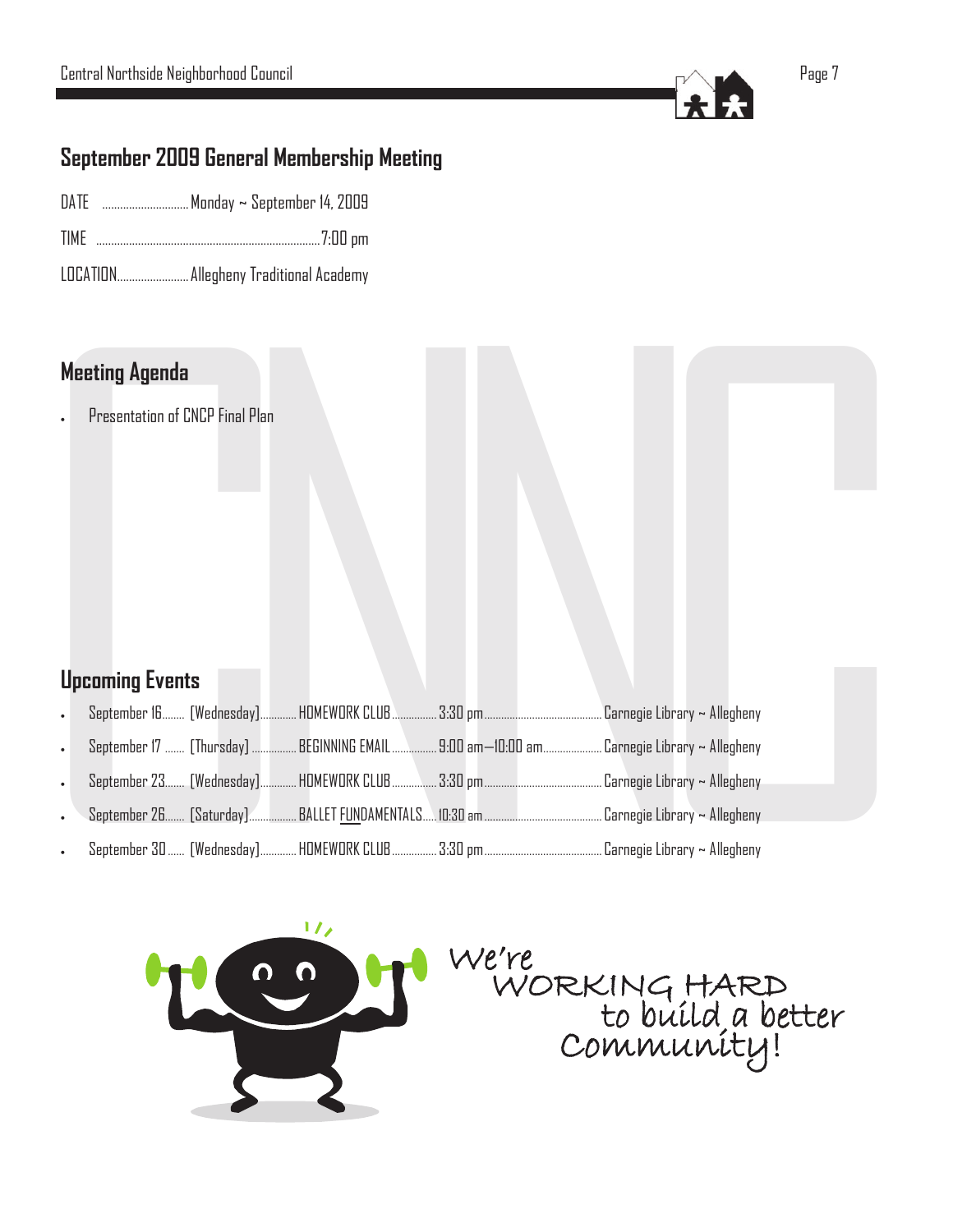

### **September 2009 General Membership Meeting**

- DATE ............................ Monday ~ September 14, 2009
- TIME ...........................................................................7:00 pm
- LOCATION........................ Allegheny Traditional Academy

### **Meeting Agenda**

### **Upcoming Events**

| <b>Meeting Agenda</b>  |                                 |  |                                                                                           |  |
|------------------------|---------------------------------|--|-------------------------------------------------------------------------------------------|--|
|                        | Presentation of CNCP Final Plan |  |                                                                                           |  |
| <b>Upcoming Events</b> |                                 |  |                                                                                           |  |
|                        |                                 |  |                                                                                           |  |
|                        |                                 |  | September 17  [Thursday]  BEGINNING EMAIL  9:00 am—10:00 am  Carnegie Library ~ Allegheny |  |
|                        |                                 |  |                                                                                           |  |
|                        |                                 |  |                                                                                           |  |